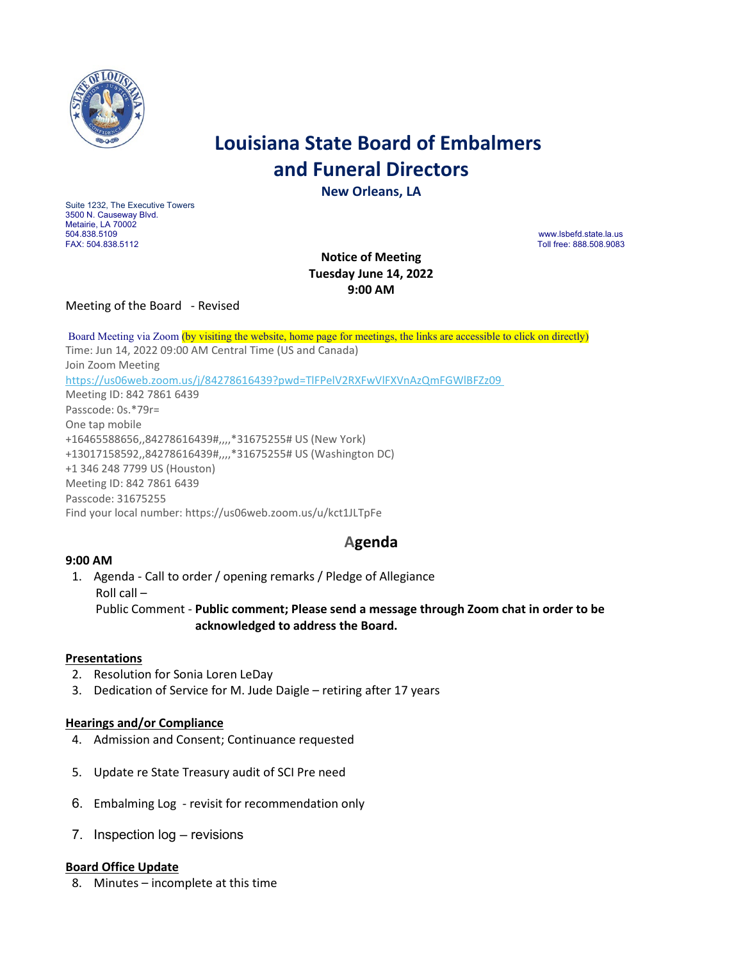

# **Louisiana State Board of Embalmers and Funeral Directors**

**New Orleans, LA**

Suite 1232, The Executive Towers 3500 N. Causeway Blvd. Metairie, LA 70002<br>504.838.5109 504.838.5109 www.lsbefd.state.la.us

Toll free: 888.508.9083

**Notice of Meeting Tuesday June 14, 2022 9:00 AM** 

Meeting of the Board - Revised

Board Meeting via Zoom (by visiting the website, home page for meetings, the links are accessible to click on directly) Time: Jun 14, 2022 09:00 AM Central Time (US and Canada) Join Zoom Meeting <https://us06web.zoom.us/j/84278616439?pwd=TlFPelV2RXFwVlFXVnAzQmFGWlBFZz09> Meeting ID: 842 7861 6439 Passcode: 0s.\*79r= One tap mobile +16465588656,,84278616439#,,,,\*31675255# US (New York) +13017158592,,84278616439#,,,,\*31675255# US (Washington DC) +1 346 248 7799 US (Houston) Meeting ID: 842 7861 6439 Passcode: 31675255 Find your local number: https://us06web.zoom.us/u/kct1JLTpFe

## **Agenda**

## **9:00 AM**

1. Agenda - Call to order / opening remarks / Pledge of Allegiance Roll call – Public Comment - **Public comment; Please send a message through Zoom chat in order to be acknowledged to address the Board.** 

## **Presentations**

- 2. Resolution for Sonia Loren LeDay
- 3. Dedication of Service for M. Jude Daigle retiring after 17 years

## **Hearings and/or Compliance**

- 4. Admission and Consent; Continuance requested
- 5. Update re State Treasury audit of SCI Pre need
- 6. Embalming Log revisit for recommendation only
- 7. Inspection log revisions

## **Board Office Update**

8. Minutes – incomplete at this time